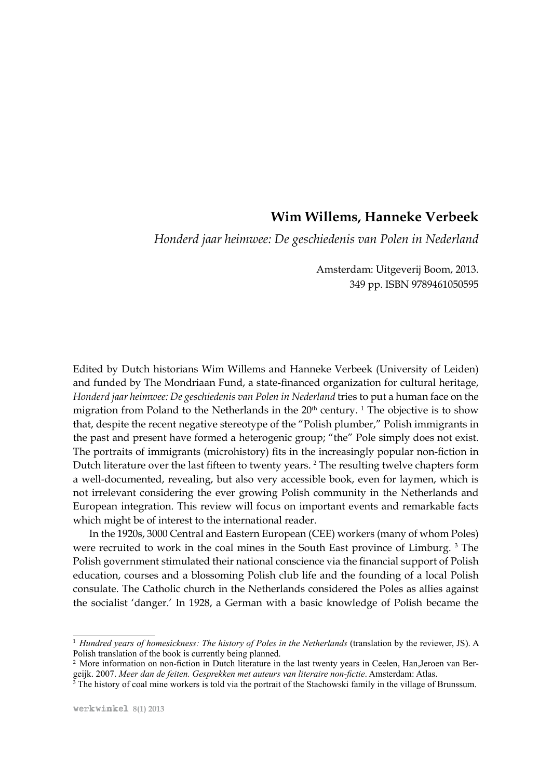## **Wim Willems, Hanneke Verbeek**

*Honderd jaar heimwee: De geschiedenis van Polen in Nederland*

Amsterdam: Uitgeverij Boom, 2013. 349 pp. ISBN 9789461050595

Edited by Dutch historians Wim Willems and Hanneke Verbeek (University of Leiden) and funded by The Mondriaan Fund, a state-financed organization for cultural heritage, *Honderd jaar heimwee: De geschiedenis van Polen in Nederland* tries to put a human face on the migration from Poland to the Netherlands in the  $20<sup>th</sup>$  century. <sup>1</sup> The objective is to show that, despite the recent negative stereotype of the "Polish plumber," Polish immigrants in the past and present have formed a heterogenic group; "the" Pole simply does not exist. The portraits of immigrants (microhistory) fits in the increasingly popular non-fiction in Dutch literature over the last fifteen to twenty years. 2 The resulting twelve chapters form a well-documented, revealing, but also very accessible book, even for laymen, which is not irrelevant considering the ever growing Polish community in the Netherlands and European integration. This review will focus on important events and remarkable facts which might be of interest to the international reader.

In the 1920s, 3000 Central and Eastern European (CEE) workers (many of whom Poles) were recruited to work in the coal mines in the South East province of Limburg.<sup>3</sup> The Polish government stimulated their national conscience via the financial support of Polish education, courses and a blossoming Polish club life and the founding of a local Polish consulate. The Catholic church in the Netherlands considered the Poles as allies against the socialist 'danger.' In 1928, a German with a basic knowledge of Polish became the

<sup>&</sup>lt;sup>1</sup> *Hundred years of homesickness: The history of Poles in the Netherlands* (translation by the reviewer, JS). A Polish translation of the book is currently being planned.

<sup>2</sup> More information on non-fiction in Dutch literature in the last twenty years in Ceelen, Han,Jeroen van Bergeijk. 2007. *Meer dan de feiten. Gesprekken met auteurs van literaire non-fictie*. Amsterdam: Atlas.

<sup>&</sup>lt;sup>3</sup> The history of coal mine workers is told via the portrait of the Stachowski family in the village of Brunssum.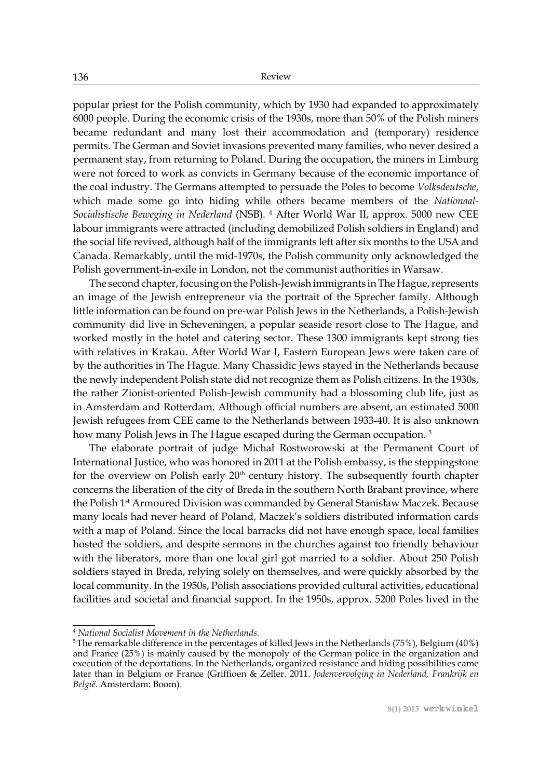popular priest for the Polish community, which by 1930 had expanded to approximately 6000 people. During the economic crisis of the 1930s, more than 50% of the Polish miners became redundant and many lost their accommodation and (temporary) residence permits. The German and Soviet invasions prevented many families, who never desired a permanent stay, from returning to Poland. During the occupation, the miners in Limburg were not forced to work as convicts in Germany because of the economic importance of the coal industry. The Germans attempted to persuade the Poles to become *Volksdeutsche*, which made some go into hiding while others became members of the *Nationaal-Socialistische Beweging in Nederland* (NSB). 4 After World War II, approx. 5000 new CEE labour immigrants were attracted (including demobilized Polish soldiers in England) and the social life revived, although half of the immigrants left after six months to the USA and Canada. Remarkably, until the mid-1970s, the Polish community only acknowledged the Polish government-in-exile in London, not the communist authorities in Warsaw.

The second chapter, focusing on the Polish-Jewish immigrants in The Hague, represents an image of the Jewish entrepreneur via the portrait of the Sprecher family. Although little information can be found on pre-war Polish Jews in the Netherlands, a Polish-Jewish community did live in Scheveningen, a popular seaside resort close to The Hague, and worked mostly in the hotel and catering sector. These 1300 immigrants kept strong ties with relatives in Krakau. After World War I, Eastern European Jews were taken care of by the authorities in The Hague. Many Chassidic Jews stayed in the Netherlands because the newly independent Polish state did not recognize them as Polish citizens. In the 1930s, the rather Zionist-oriented Polish-Jewish community had a blossoming club life, just as in Amsterdam and Rotterdam. Although official numbers are absent, an estimated 5000 Jewish refugees from CEE came to the Netherlands between 1933-40. It is also unknown how many Polish Jews in The Hague escaped during the German occupation.<sup>5</sup>

The elaborate portrait of judge Michał Rostworowski at the Permanent Court of International Justice, who was honored in 2011 at the Polish embassy, is the steppingstone for the overview on Polish early  $20<sup>th</sup>$  century history. The subsequently fourth chapter concerns the liberation of the city of Breda in the southern North Brabant province, where the Polish 1<sup>st</sup> Armoured Division was commanded by General Stanisław Maczek. Because many locals had never heard of Poland, Maczek's soldiers distributed information cards with a map of Poland. Since the local barracks did not have enough space, local families hosted the soldiers, and despite sermons in the churches against too friendly behaviour with the liberators, more than one local girl got married to a soldier. About 250 Polish soldiers stayed in Breda, relying solely on themselves, and were quickly absorbed by the local community. In the 1950s, Polish associations provided cultural activities, educational facilities and societal and financial support. In the 1950s, approx. 5200 Poles lived in the

<sup>4</sup>  *National Socialist Movement in the Netherlands*.

 $5$ The remarkable difference in the percentages of killed Jews in the Netherlands (75%), Belgium (40%) and France (25%) is mainly caused by the monopoly of the German police in the organization and execution of the deportations. In the Netherlands, organized resistance and hiding possibilities came later than in Belgium or France (Griffioen & Zeller. 2011. *Jodenvervolging in Nederland, Frankrijk en België.* Amsterdam: Boom).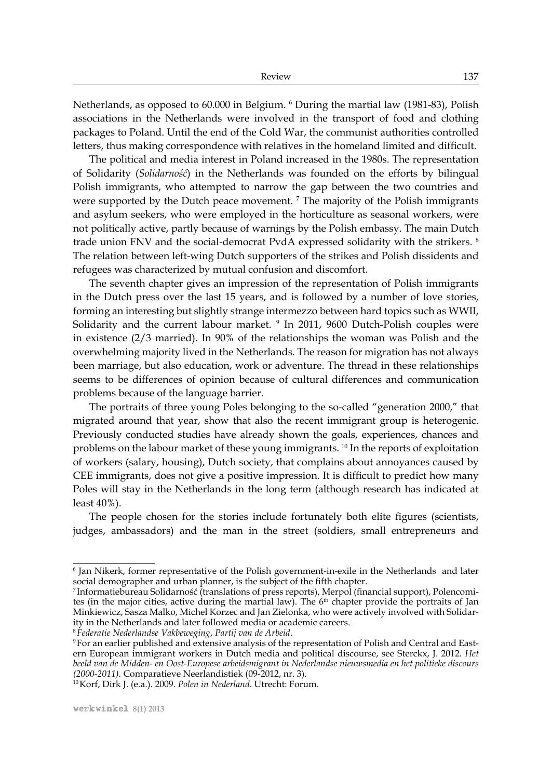Netherlands, as opposed to 60.000 in Belgium. 6 During the martial law (1981-83), Polish associations in the Netherlands were involved in the transport of food and clothing packages to Poland. Until the end of the Cold War, the communist authorities controlled letters, thus making correspondence with relatives in the homeland limited and difficult.

The political and media interest in Poland increased in the 1980s. The representation of Solidarity (*Solidarność*) in the Netherlands was founded on the efforts by bilingual Polish immigrants, who attempted to narrow the gap between the two countries and were supported by the Dutch peace movement. <sup>7</sup> The majority of the Polish immigrants and asylum seekers, who were employed in the horticulture as seasonal workers, were not politically active, partly because of warnings by the Polish embassy. The main Dutch trade union FNV and the social-democrat PvdA expressed solidarity with the strikers.<sup>8</sup> The relation between left-wing Dutch supporters of the strikes and Polish dissidents and refugees was characterized by mutual confusion and discomfort.

The seventh chapter gives an impression of the representation of Polish immigrants in the Dutch press over the last 15 years, and is followed by a number of love stories, forming an interesting but slightly strange intermezzo between hard topics such as WWII, Solidarity and the current labour market. 9 In 2011, 9600 Dutch-Polish couples were in existence (2/3 married). In 90% of the relationships the woman was Polish and the overwhelming majority lived in the Netherlands. The reason for migration has not always been marriage, but also education, work or adventure. The thread in these relationships seems to be differences of opinion because of cultural differences and communication problems because of the language barrier.

The portraits of three young Poles belonging to the so-called "generation 2000," that migrated around that year, show that also the recent immigrant group is heterogenic. Previously conducted studies have already shown the goals, experiences, chances and problems on the labour market of these young immigrants. <sup>10</sup> In the reports of exploitation of workers (salary, housing), Dutch society, that complains about annoyances caused by CEE immigrants, does not give a positive impression. It is difficult to predict how many Poles will stay in the Netherlands in the long term (although research has indicated at least 40%).

The people chosen for the stories include fortunately both elite figures (scientists, judges, ambassadors) and the man in the street (soldiers, small entrepreneurs and

<sup>8</sup>*Federatie Nederlandse Vakbeweging*, *Partij van de Arbeid*.

<sup>6</sup> Jan Nikerk, former representative of the Polish government-in-exile in the Netherlands and later social demographer and urban planner, is the subject of the fifth chapter.

<sup>7</sup> Informatiebureau Solidarność (translations of press reports), Merpol (financial support), Polencomites (in the major cities, active during the martial law). The 6<sup>th</sup> chapter provide the portraits of Jan Minkiewicz, Sasza Malko, Michel Korzec and Jan Zielonka, who were actively involved with Solidarity in the Netherlands and later followed media or academic careers.

<sup>9</sup>For an earlier published and extensive analysis of the representation of Polish and Central and Eastern European immigrant workers in Dutch media and political discourse, see Sterckx, J. 2012. *Het beeld van de Midden- en Oost-Europese arbeidsmigrant in Nederlandse nieuwsmedia en het politieke discours (2000-2011).* Comparatieve Neerlandistiek (09-2012, nr. 3).

<sup>10</sup>Korf, Dirk J. (e.a.). 2009. *Polen in Nederland*. Utrecht: Forum.